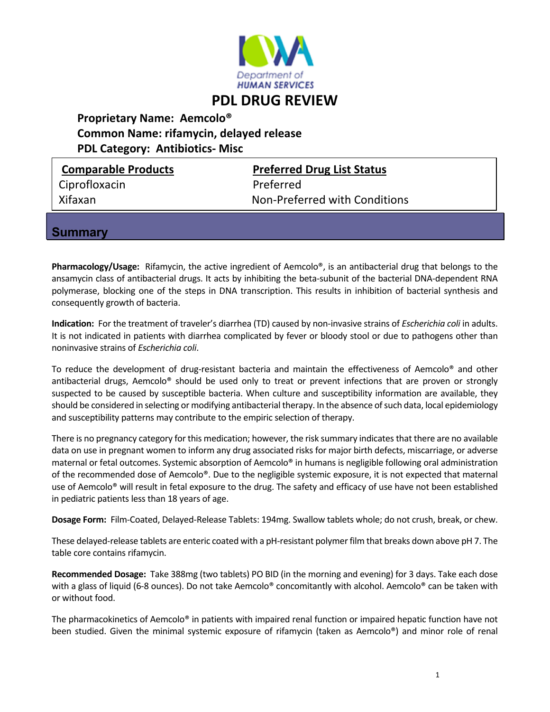

## **PDL DRUG REVIEW**

 **Proprietary Name: Aemcolo® Common Name: rifamycin, delayed release**

 **PDL Category: Antibiotics‐ Misc**

**Summar** 

| <b>Comparable Products</b>    | <b>Preferred Drug List Status</b> |  |  |
|-------------------------------|-----------------------------------|--|--|
| Ciprofloxacin                 | Preferred                         |  |  |
| Xifaxan                       | Non-Preferred with Conditions     |  |  |
| the company of the company of |                                   |  |  |

**Pharmacology/Usage:** Rifamycin, the active ingredient of Aemcolo®, is an antibacterial drug that belongs to the ansamycin class of antibacterial drugs. It acts by inhibiting the beta‐subunit of the bacterial DNA‐dependent RNA polymerase, blocking one of the steps in DNA transcription. This results in inhibition of bacterial synthesis and consequently growth of bacteria.

**Indication:** For the treatment of traveler's diarrhea (TD) caused by non‐invasive strains of *Escherichia coli* in adults. It is not indicated in patients with diarrhea complicated by fever or bloody stool or due to pathogens other than noninvasive strains of *Escherichia coli*.

To reduce the development of drug-resistant bacteria and maintain the effectiveness of Aemcolo® and other antibacterial drugs, Aemcolo® should be used only to treat or prevent infections that are proven or strongly suspected to be caused by susceptible bacteria. When culture and susceptibility information are available, they should be considered in selecting or modifying antibacterial therapy. In the absence of such data, local epidemiology and susceptibility patterns may contribute to the empiric selection of therapy.

There is no pregnancy category for this medication; however, the risk summary indicatesthat there are no available data on use in pregnant women to inform any drug associated risks for major birth defects, miscarriage, or adverse maternal or fetal outcomes. Systemic absorption of Aemcolo® in humans is negligible following oral administration of the recommended dose of Aemcolo®. Due to the negligible systemic exposure, it is not expected that maternal use of Aemcolo® will result in fetal exposure to the drug. The safety and efficacy of use have not been established in pediatric patients less than 18 years of age.

**Dosage Form:** Film‐Coated, Delayed‐Release Tablets: 194mg. Swallow tablets whole; do not crush, break, or chew.

These delayed-release tablets are enteric coated with a pH-resistant polymer film that breaks down above pH 7. The table core contains rifamycin.

**Recommended Dosage:** Take 388mg (two tablets) PO BID (in the morning and evening) for 3 days. Take each dose with a glass of liquid (6-8 ounces). Do not take Aemcolo<sup>®</sup> concomitantly with alcohol. Aemcolo<sup>®</sup> can be taken with or without food.

The pharmacokinetics of Aemcolo® in patients with impaired renal function or impaired hepatic function have not been studied. Given the minimal systemic exposure of rifamycin (taken as Aemcolo®) and minor role of renal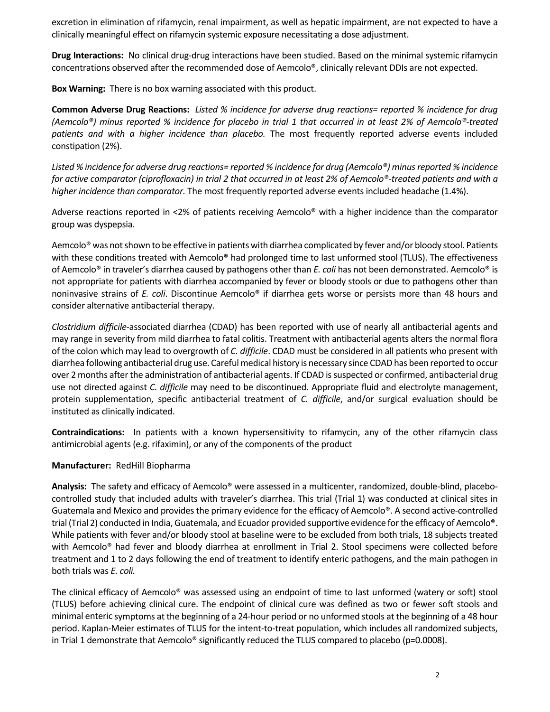excretion in elimination of rifamycin, renal impairment, as well as hepatic impairment, are not expected to have a clinically meaningful effect on rifamycin systemic exposure necessitating a dose adjustment.

**Drug Interactions:** No clinical drug‐drug interactions have been studied. Based on the minimal systemic rifamycin concentrations observed after the recommended dose of Aemcolo®, clinically relevant DDIs are not expected.

**Box Warning:** There is no box warning associated with this product.

Common Adverse Drug Reactions: Listed % incidence for adverse drug reactions= reported % incidence for drug (Aemcolo®) minus reported % incidence for placebo in trial 1 that occurred in at least 2% of Aemcolo®-treated *patients and with a higher incidence than placebo.* The most frequently reported adverse events included constipation (2%).

Listed % incidence for adverse drug reactions= reported % incidence for drug (Aemcolo®) minus reported % incidence for active comparator (ciprofloxacin) in trial 2 that occurred in at least 2% of Aemcolo®-treated patients and with a *higher incidence than comparator.* The most frequently reported adverse events included headache (1.4%).

Adverse reactions reported in ˂2% of patients receiving Aemcolo® with a higher incidence than the comparator group was dyspepsia.

Aemcolo<sup>®</sup> was not shown to be effective in patients with diarrhea complicated by fever and/or bloody stool. Patients with these conditions treated with Aemcolo® had prolonged time to last unformed stool (TLUS). The effectiveness of Aemcolo® in traveler's diarrhea caused by pathogens other than *E. coli* has not been demonstrated. Aemcolo® is not appropriate for patients with diarrhea accompanied by fever or bloody stools or due to pathogens other than noninvasive strains of *E. coli*. Discontinue Aemcolo® if diarrhea gets worse or persists more than 48 hours and consider alternative antibacterial therapy.

*Clostridium difficile*‐associated diarrhea (CDAD) has been reported with use of nearly all antibacterial agents and may range in severity from mild diarrhea to fatal colitis. Treatment with antibacterial agents alters the normal flora of the colon which may lead to overgrowth of *C. difficile*. CDAD must be considered in all patients who present with diarrhea following antibacterial drug use. Careful medical history is necessary since CDAD has been reported to occur over 2 months after the administration of antibacterial agents. If CDAD is suspected or confirmed, antibacterial drug use not directed against *C. difficile* may need to be discontinued. Appropriate fluid and electrolyte management, protein supplementation, specific antibacterial treatment of *C. difficile*, and/or surgical evaluation should be instituted as clinically indicated.

**Contraindications:**  In patients with a known hypersensitivity to rifamycin, any of the other rifamycin class antimicrobial agents (e.g. rifaximin), or any of the components of the product

## **Manufacturer:** RedHill Biopharma

Analysis: The safety and efficacy of Aemcolo<sup>®</sup> were assessed in a multicenter, randomized, double-blind, placebocontrolled study that included adults with traveler's diarrhea. This trial (Trial 1) was conducted at clinical sites in Guatemala and Mexico and provides the primary evidence for the efficacy of Aemcolo®. A second active-controlled trial (Trial 2) conducted in India, Guatemala, and Ecuador provided supportive evidence forthe efficacy of Aemcolo®. While patients with fever and/or bloody stool at baseline were to be excluded from both trials, 18 subjects treated with Aemcolo<sup>®</sup> had fever and bloody diarrhea at enrollment in Trial 2. Stool specimens were collected before treatment and 1 to 2 days following the end of treatment to identify enteric pathogens, and the main pathogen in both trials was *E. coli.*

The clinical efficacy of Aemcolo® was assessed using an endpoint of time to last unformed (watery or soft) stool (TLUS) before achieving clinical cure. The endpoint of clinical cure was defined as two or fewer soft stools and minimal enteric symptoms at the beginning of a 24‐hour period or no unformed stools at the beginning of a 48 hour period. Kaplan‐Meier estimates of TLUS for the intent‐to‐treat population, which includes all randomized subjects, in Trial 1 demonstrate that Aemcolo® significantly reduced the TLUS compared to placebo (p=0.0008).